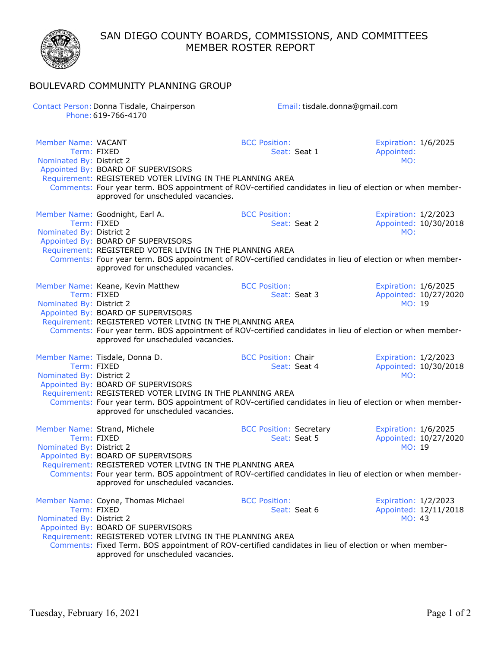SAN DIEGO COUNTY BOARDS, COMMISSIONS, AND COMMITTEES MEMBER ROSTER REPORT



## BOULEVARD COMMUNITY PLANNING GROUP

| Contact Person: Donna Tisdale, Chairperson<br>Phone: 619-766-4170 |                                                                                                                                                                                                                                                                                                         | Email: tisdale.donna@gmail.com                 |                                                         |  |  |
|-------------------------------------------------------------------|---------------------------------------------------------------------------------------------------------------------------------------------------------------------------------------------------------------------------------------------------------------------------------------------------------|------------------------------------------------|---------------------------------------------------------|--|--|
| Member Name: VACANT<br>Nominated By: District 2                   | Term: FIXED<br>Appointed By: BOARD OF SUPERVISORS<br>Requirement: REGISTERED VOTER LIVING IN THE PLANNING AREA                                                                                                                                                                                          | <b>BCC Position:</b><br>Seat: Seat 1           | Expiration: 1/6/2025<br>Appointed:<br>MO:               |  |  |
|                                                                   | Comments: Four year term. BOS appointment of ROV-certified candidates in lieu of election or when member-<br>approved for unscheduled vacancies.                                                                                                                                                        |                                                |                                                         |  |  |
| Nominated By: District 2                                          | Member Name: Goodnight, Earl A.<br>Term: FIXED<br>Appointed By: BOARD OF SUPERVISORS<br>Requirement: REGISTERED VOTER LIVING IN THE PLANNING AREA<br>Comments: Four year term. BOS appointment of ROV-certified candidates in lieu of election or when member-<br>approved for unscheduled vacancies.   | <b>BCC Position:</b><br>Seat: Seat 2           | Expiration: 1/2/2023<br>Appointed: 10/30/2018<br>MO:    |  |  |
| Nominated By: District 2                                          | Member Name: Keane, Kevin Matthew<br>Term: FIXED<br>Appointed By: BOARD OF SUPERVISORS<br>Requirement: REGISTERED VOTER LIVING IN THE PLANNING AREA<br>Comments: Four year term. BOS appointment of ROV-certified candidates in lieu of election or when member-<br>approved for unscheduled vacancies. | <b>BCC Position:</b><br>Seat: Seat 3           | Expiration: 1/6/2025<br>Appointed: 10/27/2020<br>MO: 19 |  |  |
| Nominated By: District 2                                          | Member Name: Tisdale, Donna D.<br>Term: FIXED<br>Appointed By: BOARD OF SUPERVISORS<br>Requirement: REGISTERED VOTER LIVING IN THE PLANNING AREA<br>Comments: Four year term. BOS appointment of ROV-certified candidates in lieu of election or when member-<br>approved for unscheduled vacancies.    | <b>BCC Position: Chair</b><br>Seat: Seat 4     | Expiration: 1/2/2023<br>Appointed: 10/30/2018<br>MO:    |  |  |
| Nominated By: District 2                                          | Member Name: Strand, Michele<br>Term: FIXED<br>Appointed By: BOARD OF SUPERVISORS<br>Requirement: REGISTERED VOTER LIVING IN THE PLANNING AREA<br>Comments: Four year term. BOS appointment of ROV-certified candidates in lieu of election or when member-<br>approved for unscheduled vacancies.      | <b>BCC Position: Secretary</b><br>Seat: Seat 5 | Expiration: 1/6/2025<br>Appointed: 10/27/2020<br>MO: 19 |  |  |
| Nominated By: District 2                                          | Member Name: Coyne, Thomas Michael<br>Term: FIXED<br>Appointed By: BOARD OF SUPERVISORS<br>Requirement: REGISTERED VOTER LIVING IN THE PLANNING AREA<br>Comments: Fixed Term. BOS appointment of ROV-certified candidates in lieu of election or when member-<br>approved for unscheduled vacancies.    | <b>BCC Position:</b><br>Seat: Seat 6           | Expiration: 1/2/2023<br>Appointed: 12/11/2018<br>MO: 43 |  |  |